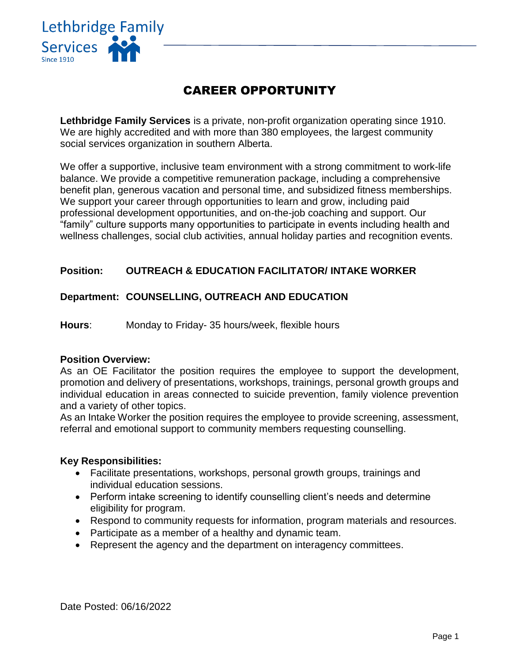

# CAREER OPPORTUNITY

**Lethbridge Family Services** is a private, non-profit organization operating since 1910. We are highly accredited and with more than 380 employees, the largest community social services organization in southern Alberta.

We offer a supportive, inclusive team environment with a strong commitment to work-life balance. We provide a competitive remuneration package, including a comprehensive benefit plan, generous vacation and personal time, and subsidized fitness memberships. We support your career through opportunities to learn and grow, including paid professional development opportunities, and on-the-job coaching and support. Our "family" culture supports many opportunities to participate in events including health and wellness challenges, social club activities, annual holiday parties and recognition events.

# **Position: OUTREACH & EDUCATION FACILITATOR/ INTAKE WORKER**

## **Department: COUNSELLING, OUTREACH AND EDUCATION**

**Hours**: Monday to Friday- 35 hours/week, flexible hours

### **Position Overview:**

As an OE Facilitator the position requires the employee to support the development, promotion and delivery of presentations, workshops, trainings, personal growth groups and individual education in areas connected to suicide prevention, family violence prevention and a variety of other topics.

As an Intake Worker the position requires the employee to provide screening, assessment, referral and emotional support to community members requesting counselling.

#### **Key Responsibilities:**

- Facilitate presentations, workshops, personal growth groups, trainings and individual education sessions.
- Perform intake screening to identify counselling client's needs and determine eligibility for program.
- Respond to community requests for information, program materials and resources.
- Participate as a member of a healthy and dynamic team.
- Represent the agency and the department on interagency committees.